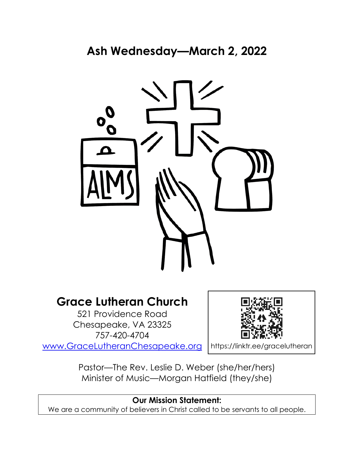

# **Grace Lutheran Church**

521 Providence Road Chesapeake, VA 23325 757-420-4704 [www.GraceLutheranChesapeake.org](http://www.gracelutheranchesapeake.org/)



Pastor—The Rev. Leslie D. Weber (she/her/hers) Minister of Music—Morgan Hatfield (they/she)

## **Our Mission Statement:**

We are a community of believers in Christ called to be servants to all people.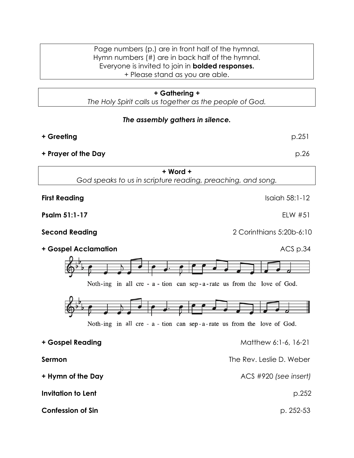#### Page numbers (p.) are in front half of the hymnal. Hymn numbers (#) are in back half of the hymnal. Everyone is invited to join in **bolded responses.** + Please stand as you are able.

#### **+ Gathering +**

*The Holy Spirit calls us together as the people of God.*

#### *The assembly gathers in silence.*

**+ Greeting** p.251

**+ Prayer of the Day** p.26

**+ Word +** *God speaks to us in scripture reading, preaching, and song.*

**First Reading** Isaiah 58:1-12

**Psalm 51:1-17** ELW #51

**Second Reading** 2 Corinthians 5:20b-6:10





Noth-ing in all cre - a - tion can sep-a-rate us from the love of God.

**+ Gospel Reading** Matthew 6:1-6, 16-21 **Sermon** The Rev. Leslie D. Weber **+ Hymn of the Day** ACS #920 *(see insert)* **Invitation to Lent** p.252 **Confession of Sin** <br>**p. 252-53**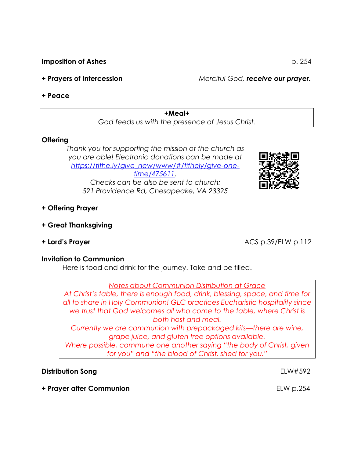**Imposition of Ashes** p. 254

**+ Prayers of Intercession** *Merciful God, receive our prayer.*

### **+ Peace**

**+Meal+** *God feeds us with the presence of Jesus Christ.*

### **Offering**

*Thank you for supporting the mission of the church as you are able! Electronic donations can be made at [https://tithe.ly/give\\_new/www/#/tithely/give-one](https://tithe.ly/give_new/www/#/tithely/give-one-time/475611)[time/475611.](https://tithe.ly/give_new/www/#/tithely/give-one-time/475611) Checks can be also be sent to church: 521 Providence Rd, Chesapeake, VA 23325*



- **+ Offering Prayer**
- **+ Great Thanksgiving**
- 

**+ Lord's Prayer** ACS p.39/ELW p.112

#### **Invitation to Communion**

Here is food and drink for the journey. Take and be filled.

*Notes about Communion Distribution at Grace*

*At Christ's table, there is enough food, drink, blessing, space, and time for all to share in Holy Communion! GLC practices Eucharistic hospitality since we trust that God welcomes all who come to the table, where Christ is both host and meal.*

*Currently we are communion with prepackaged kits—there are wine, grape juice, and gluten free options available.*

*Where possible, commune one another saying "the body of Christ, given for you" and "the blood of Christ, shed for you."*

### **Distribution Song** ELW#592

**+ Prayer after Communion** ELW p.254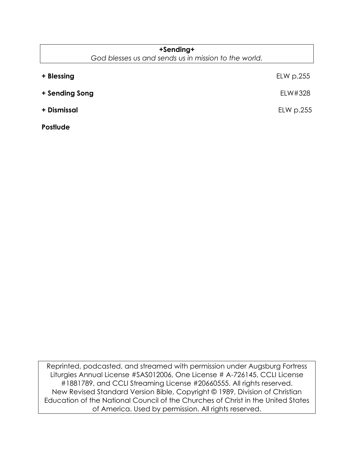| +Sending+                                            |           |
|------------------------------------------------------|-----------|
| God blesses us and sends us in mission to the world. |           |
| + Blessing                                           | ELW p.255 |
| + Sending Song                                       | ELW#328   |
| + Dismissal                                          | ELW p.255 |
| <b>Postlude</b>                                      |           |

Reprinted, podcasted, and streamed with permission under Augsburg Fortress Liturgies Annual License #SAS012006, One License # A-726145, CCLI License #1881789, and CCLI Streaming License #20660555. All rights reserved. New Revised Standard Version Bible, Copyright © 1989, Division of Christian Education of the National Council of the Churches of Christ in the United States of America. Used by permission. All rights reserved.